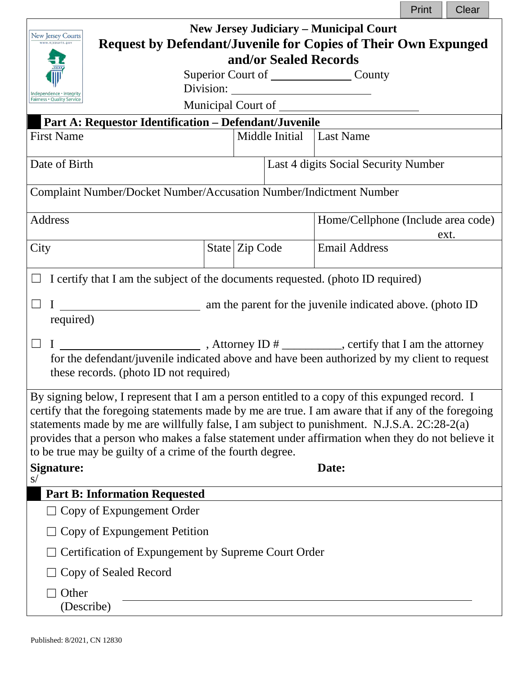|                                                                                                                                                                                                                                                                                                                                                                                                                                                                                                   |                                                 |                |  |                                      | Print | Clear |
|---------------------------------------------------------------------------------------------------------------------------------------------------------------------------------------------------------------------------------------------------------------------------------------------------------------------------------------------------------------------------------------------------------------------------------------------------------------------------------------------------|-------------------------------------------------|----------------|--|--------------------------------------|-------|-------|
| <b>New Jersey Judiciary – Municipal Court</b><br>New Jersey Courts<br><b>Request by Defendant/Juvenile for Copies of Their Own Expunged</b><br>www.njcourts.gov                                                                                                                                                                                                                                                                                                                                   |                                                 |                |  |                                      |       |       |
| and/or Sealed Records                                                                                                                                                                                                                                                                                                                                                                                                                                                                             |                                                 |                |  |                                      |       |       |
|                                                                                                                                                                                                                                                                                                                                                                                                                                                                                                   | Superior Court of _______________________County |                |  |                                      |       |       |
| Independence · Integrity<br>Fairness . Quality Service                                                                                                                                                                                                                                                                                                                                                                                                                                            |                                                 |                |  |                                      |       |       |
| Part A: Requestor Identification - Defendant/Juvenile                                                                                                                                                                                                                                                                                                                                                                                                                                             |                                                 |                |  |                                      |       |       |
| <b>First Name</b>                                                                                                                                                                                                                                                                                                                                                                                                                                                                                 |                                                 |                |  | Middle Initial Last Name             |       |       |
| Date of Birth                                                                                                                                                                                                                                                                                                                                                                                                                                                                                     |                                                 |                |  | Last 4 digits Social Security Number |       |       |
| Complaint Number/Docket Number/Accusation Number/Indictment Number                                                                                                                                                                                                                                                                                                                                                                                                                                |                                                 |                |  |                                      |       |       |
| <b>Address</b>                                                                                                                                                                                                                                                                                                                                                                                                                                                                                    |                                                 |                |  | Home/Cellphone (Include area code)   |       | ext.  |
| City                                                                                                                                                                                                                                                                                                                                                                                                                                                                                              |                                                 | State Zip Code |  | <b>Email Address</b>                 |       |       |
| I certify that I am the subject of the documents requested. (photo ID required)                                                                                                                                                                                                                                                                                                                                                                                                                   |                                                 |                |  |                                      |       |       |
|                                                                                                                                                                                                                                                                                                                                                                                                                                                                                                   |                                                 |                |  |                                      |       |       |
| required)                                                                                                                                                                                                                                                                                                                                                                                                                                                                                         |                                                 |                |  |                                      |       |       |
| $\frac{1}{2}$ , Attorney ID $\frac{1}{2}$ , certify that I am the attorney<br>$\Box$<br>$\mathbf{I}$                                                                                                                                                                                                                                                                                                                                                                                              |                                                 |                |  |                                      |       |       |
| for the defendant/juvenile indicated above and have been authorized by my client to request<br>these records. (photo ID not required)                                                                                                                                                                                                                                                                                                                                                             |                                                 |                |  |                                      |       |       |
| By signing below, I represent that I am a person entitled to a copy of this expunged record. I<br>certify that the foregoing statements made by me are true. I am aware that if any of the foregoing<br>statements made by me are willfully false, I am subject to punishment. N.J.S.A. 2C:28-2(a)<br>provides that a person who makes a false statement under affirmation when they do not believe it<br>to be true may be guilty of a crime of the fourth degree.<br><b>Signature:</b><br>Date: |                                                 |                |  |                                      |       |       |
| S/                                                                                                                                                                                                                                                                                                                                                                                                                                                                                                |                                                 |                |  |                                      |       |       |
| <b>Part B: Information Requested</b>                                                                                                                                                                                                                                                                                                                                                                                                                                                              |                                                 |                |  |                                      |       |       |
| Copy of Expungement Order                                                                                                                                                                                                                                                                                                                                                                                                                                                                         |                                                 |                |  |                                      |       |       |
| Copy of Expungement Petition                                                                                                                                                                                                                                                                                                                                                                                                                                                                      |                                                 |                |  |                                      |       |       |
| Certification of Expungement by Supreme Court Order                                                                                                                                                                                                                                                                                                                                                                                                                                               |                                                 |                |  |                                      |       |       |
| Copy of Sealed Record                                                                                                                                                                                                                                                                                                                                                                                                                                                                             |                                                 |                |  |                                      |       |       |
| Other<br>(Describe)                                                                                                                                                                                                                                                                                                                                                                                                                                                                               |                                                 |                |  |                                      |       |       |